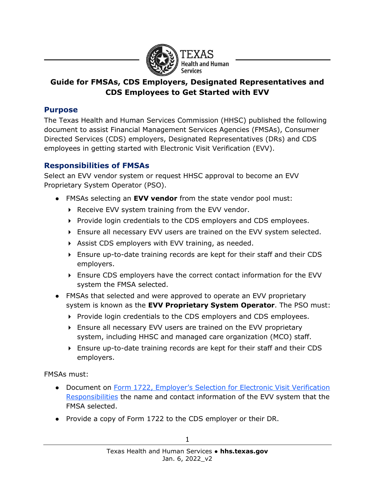

## **Guide for FMSAs, CDS Employers, Designated Representatives and CDS Employees to Get Started with EVV**

#### **Purpose**

The Texas Health and Human Services Commission (HHSC) published the following document to assist Financial Management Services Agencies (FMSAs), Consumer Directed Services (CDS) employers, Designated Representatives (DRs) and CDS employees in getting started with Electronic Visit Verification (EVV).

### **Responsibilities of FMSAs**

Select an EVV vendor system or request HHSC approval to become an EVV Proprietary System Operator (PSO).

- FMSAs selecting an **EVV vendor** from the state vendor pool must:
	- $\triangleright$  Receive EVV system training from the EVV vendor.
	- $\triangleright$  Provide login credentials to the CDS employers and CDS employees.
	- Ensure all necessary EVV users are trained on the EVV system selected.
	- Assist CDS employers with EVV training, as needed.
	- Ensure up-to-date training records are kept for their staff and their CDS employers.
	- Ensure CDS employers have the correct contact information for the EVV system the FMSA selected.
- FMSAs that selected and were approved to operate an EVV proprietary system is known as the **EVV Proprietary System Operator**. The PSO must:
	- $\triangleright$  Provide login credentials to the CDS employers and CDS employees.
	- Ensure all necessary EVV users are trained on the EVV proprietary system, including HHSC and managed care organization (MCO) staff.
	- Ensure up-to-date training records are kept for their staff and their CDS employers.

FMSAs must:

- Document on Form 1722, Employer's Selection for Electronic Visit Verification [Responsibilities](https://hhs.texas.gov/laws-regulations/forms/1000-1999/form-1722-employers-selection-electronic-visit-verification-responsibilities) the name and contact information of the EVV system that the FMSA selected.
- Provide a copy of Form 1722 to the CDS employer or their DR.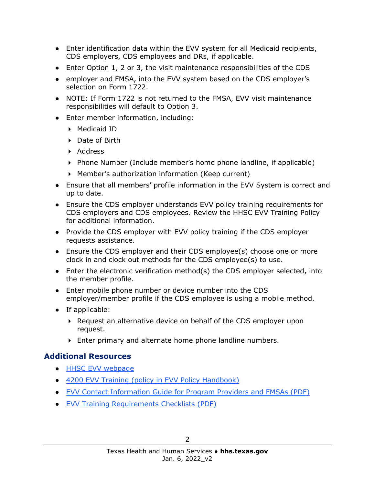- Enter identification data within the EVV system for all Medicaid recipients, CDS employers, CDS employees and DRs, if applicable.
- Enter Option 1, 2 or 3, the visit maintenance responsibilities of the CDS
- employer and FMSA, into the EVV system based on the CDS employer's selection on Form 1722.
- NOTE: If Form 1722 is not returned to the FMSA, EVV visit maintenance responsibilities will default to Option 3.
- Enter member information, including:
	- ▶ Medicaid ID
	- ▶ Date of Birth
	- ▶ Address
	- $\triangleright$  Phone Number (Include member's home phone landline, if applicable)
	- Member's authorization information (Keep current)
- Ensure that all members' profile information in the EVV System is correct and up to date.
- Ensure the CDS employer understands EVV policy training requirements for CDS employers and CDS employees. Review the HHSC EVV Training Policy for additional information.
- Provide the CDS employer with EVV policy training if the CDS employer requests assistance.
- Ensure the CDS employer and their CDS employee(s) choose one or more clock in and clock out methods for the CDS employee(s) to use.
- Enter the electronic verification method(s) the CDS employer selected, into the member profile.
- Enter mobile phone number or device number into the CDS employer/member profile if the CDS employee is using a mobile method.
- If applicable:
	- ▶ Request an alternative device on behalf of the CDS employer upon request.
	- Enter primary and alternate home phone landline numbers.

## **Additional Resources**

- [HHSC EVV webpage](https://hhs.texas.gov/doing-business-hhs/provider-portals/long-term-care-providers/resources/electronic-visit-verification)
- [4200 EVV Training \(policy in EVV Policy Handbook\)](https://www.hhs.texas.gov/handbooks/electronic-visit-verification-policy-handbook/4000-evv-system-setup#4200)
- [EVV Contact Information Guide for Program Providers and FMSAs \(PDF\)](https://hhs.texas.gov/sites/default/files/documents/doing-business-with-hhs/providers/long-term-care/evv/evv-contact-information-guide.pdf)
- [EVV Training Requirements Checklists \(PDF\)](https://www.hhs.texas.gov/sites/default/files/documents/doing-business-with-hhs/providers/long-term-care/evv/evv-required-training-checklist.pdf)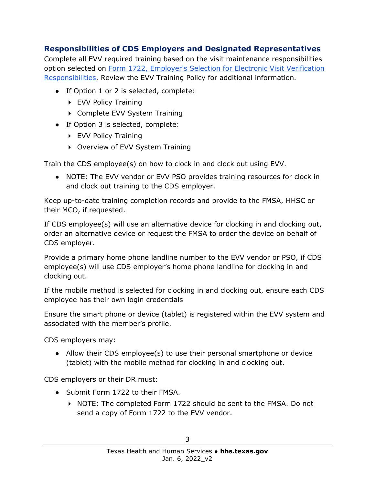# **Responsibilities of CDS Employers and Designated Representatives**

Complete all EVV required training based on the visit maintenance responsibilities option selected on Form 1722, [Employer's Selection for Electronic Visit Verification](https://hhs.texas.gov/laws-regulations/forms/1000-1999/form-1722-employers-selection-electronic-visit-verification-responsibilities)  [Responsibilities.](https://hhs.texas.gov/laws-regulations/forms/1000-1999/form-1722-employers-selection-electronic-visit-verification-responsibilities) Review the EVV Training Policy for additional information.

- If Option 1 or 2 is selected, complete:
	- ▶ EVV Policy Training
	- ▶ Complete EVV System Training
- If Option 3 is selected, complete:
	- ▶ EVV Policy Training
	- ▶ Overview of EVV System Training

Train the CDS employee(s) on how to clock in and clock out using EVV.

● NOTE: The EVV vendor or EVV PSO provides training resources for clock in and clock out training to the CDS employer.

Keep up-to-date training completion records and provide to the FMSA, HHSC or their MCO, if requested.

If CDS employee(s) will use an alternative device for clocking in and clocking out, order an alternative device or request the FMSA to order the device on behalf of CDS employer.

Provide a primary home phone landline number to the EVV vendor or PSO, if CDS employee(s) will use CDS employer's home phone landline for clocking in and clocking out.

If the mobile method is selected for clocking in and clocking out, ensure each CDS employee has their own login credentials

Ensure the smart phone or device (tablet) is registered within the EVV system and associated with the member's profile.

CDS employers may:

• Allow their CDS employee(s) to use their personal smartphone or device (tablet) with the mobile method for clocking in and clocking out.

CDS employers or their DR must:

- Submit Form 1722 to their FMSA.
	- ▶ NOTE: The completed Form 1722 should be sent to the FMSA. Do not send a copy of Form 1722 to the EVV vendor.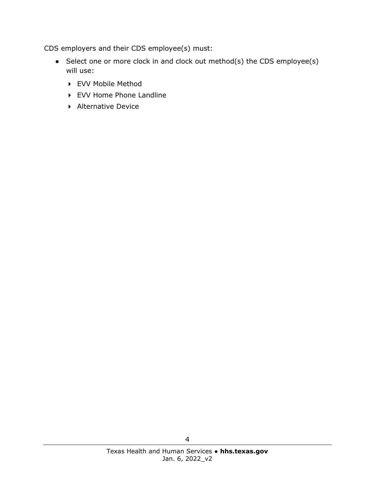CDS employers and their CDS employee(s) must:

- Select one or more clock in and clock out method(s) the CDS employee(s) will use:
	- EVV Mobile Method
	- ▶ EVV Home Phone Landline
	- ▶ Alternative Device